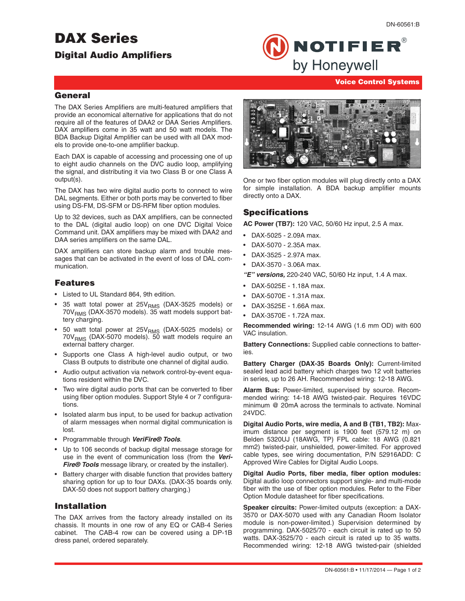# **DAX Series**

# **Digital Audio Amplifiers**



DN-60561:B

#### **Voice Control Systems**

# **General**

The DAX Series Amplifiers are multi-featured amplifiers that provide an economical alternative for applications that do not require all of the features of DAA2 or DAA Series Amplifiers. DAX amplifiers come in 35 watt and 50 watt models. The BDA Backup Digital Amplifier can be used with all DAX models to provide one-to-one amplifier backup.

Each DAX is capable of accessing and processing one of up to eight audio channels on the DVC audio loop, amplifying the signal, and distributing it via two Class B or one Class A output(s).

The DAX has two wire digital audio ports to connect to wire DAL segments. Either or both ports may be converted to fiber using DS-FM, DS-SFM or DS-RFM fiber option modules.

Up to 32 devices, such as DAX amplifiers, can be connected to the DAL (digital audio loop) on one DVC Digital Voice Command unit. DAX amplifiers may be mixed with DAA2 and DAA series amplifiers on the same DAL.

DAX amplifiers can store backup alarm and trouble messages that can be activated in the event of loss of DAL communication.

### **Features**

- Listed to UL Standard 864, 9th edition.
- 35 watt total power at  $25V<sub>RMS</sub>$  (DAX-3525 models) or  $70V<sub>RMS</sub>$  (DAX-3570 models). 35 watt models support battery charging.
- 50 watt total power at  $25V<sub>RMS</sub>$  (DAX-5025 models) or  $70V<sub>RMS</sub>$  (DAX-5070 models). 50 watt models require an external battery charger.
- Supports one Class A high-level audio output, or two Class B outputs to distribute one channel of digital audio.
- Audio output activation via network control-by-event equations resident within the DVC.
- Two wire digital audio ports that can be converted to fiber using fiber option modules. Support Style 4 or 7 configurations.
- Isolated alarm bus input, to be used for backup activation of alarm messages when normal digital communication is lost.
- Programmable through *VeriFire® Tools*.
- Up to 106 seconds of backup digital message storage for use in the event of communication loss (from the *Veri-Fire® Tools* message library, or created by the installer).
- Battery charger with disable function that provides battery sharing option for up to four DAXs. (DAX-35 boards only. DAX-50 does not support battery charging.)

# **Installation**

The DAX arrives from the factory already installed on its chassis. It mounts in one row of any EQ or CAB-4 Series cabinet. The CAB-4 row can be covered using a DP-1B dress panel, ordered separately.



One or two fiber option modules will plug directly onto a DAX for simple installation. A BDA backup amplifier mounts directly onto a DAX.

# **Specifications**

**AC Power (TB7):** 120 VAC, 50/60 Hz input, 2.5 A max.

- DAX-5025 2.09A max.
- DAX-5070 2.35A max.
- DAX-3525 2.97A max.
- DAX-3570 3.06A max.

*"E" versions,* 220-240 VAC, 50/60 Hz input, 1.4 A max.

- DAX-5025E 1.18A max.
- DAX-5070E 1.31A max.
- DAX-3525E 1.66A max.
- DAX-3570E 1.72A max.

**Recommended wiring:** 12-14 AWG (1.6 mm OD) with 600 VAC insulation.

**Battery Connections:** Supplied cable connections to batteries.

**Battery Charger (DAX-35 Boards Only):** Current-limited sealed lead acid battery which charges two 12 volt batteries in series, up to 26 AH. Recommended wiring: 12-18 AWG.

**Alarm Bus:** Power-limited, supervised by source. Recommended wiring: 14-18 AWG twisted-pair. Requires 16VDC minimum @ 20mA across the terminals to activate. Nominal 24VDC.

**Digital Audio Ports, wire media, A and B (TB1, TB2):** Maximum distance per segment is 1900 feet (579.12 m) on Belden 5320UJ (18AWG, TP) FPL cable: 18 AWG (0.821 mm2) twisted-pair, unshielded, power-limited. For approved cable types, see wiring documentation, P/N 52916ADD: C Approved Wire Cables for Digital Audio Loops.

**Digital Audio Ports, fiber media, fiber option modules:** Digital audio loop connectors support single- and multi-mode fiber with the use of fiber option modules. Refer to the Fiber Option Module datasheet for fiber specifications.

**Speaker circuits:** Power-limited outputs (exception: a DAX-3570 or DAX-5070 used with any Canadian Room Isolator module is non-power-limited.) Supervision determined by programming. DAX-5025/70 - each circuit is rated up to 50 watts. DAX-3525/70 - each circuit is rated up to 35 watts. Recommended wiring: 12-18 AWG twisted-pair (shielded